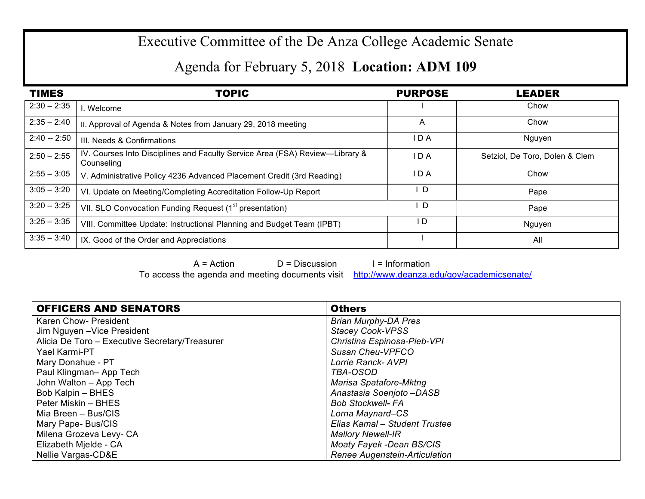## Executive Committee of the De Anza College Academic Senate

## Agenda for February 5, 2018 **Location: ADM 109**

| <b>TIMES</b>  | <b>TOPIC</b>                                                                               | <b>PURPOSE</b> | <b>LEADER</b>                  |
|---------------|--------------------------------------------------------------------------------------------|----------------|--------------------------------|
| $2:30 - 2:35$ | . Welcome                                                                                  |                | Chow                           |
| $2:35 - 2:40$ | II. Approval of Agenda & Notes from January 29, 2018 meeting                               | A              | Chow                           |
| $2:40 - 2:50$ | III. Needs & Confirmations                                                                 | IDA            | Nguyen                         |
| $2:50 - 2:55$ | IV. Courses Into Disciplines and Faculty Service Area (FSA) Review-Library &<br>Counseling | IDA            | Setziol, De Toro, Dolen & Clem |
| $2:55 - 3:05$ | V. Administrative Policy 4236 Advanced Placement Credit (3rd Reading)                      | IDA            | Chow                           |
| $3:05 - 3:20$ | VI. Update on Meeting/Completing Accreditation Follow-Up Report                            | D              | Pape                           |
| $3:20 - 3:25$ | VII. SLO Convocation Funding Request (1 <sup>st</sup> presentation)                        | D              | Pape                           |
| $3:25 - 3:35$ | VIII. Committee Update: Instructional Planning and Budget Team (IPBT)                      | I D            | Nguyen                         |
| $3:35 - 3:40$ | IX. Good of the Order and Appreciations                                                    |                | All                            |

 $A = Action$   $D = Discussion$  I = Information To access the agenda and meeting documents visit http://www.deanza.edu/gov/academicsenate/

| <b>OFFICERS AND SENATORS</b>                   | <b>Others</b>                   |
|------------------------------------------------|---------------------------------|
| Karen Chow- President                          | <b>Brian Murphy-DA Pres</b>     |
| Jim Nguyen - Vice President                    | <b>Stacey Cook-VPSS</b>         |
| Alicia De Toro - Executive Secretary/Treasurer | Christina Espinosa-Pieb-VPI     |
| Yael Karmi-PT                                  | Susan Cheu-VPFCO                |
| Mary Donahue - PT                              | Lorrie Ranck- AVPI              |
| Paul Klingman-App Tech                         | TBA-OSOD                        |
| John Walton - App Tech                         | <b>Marisa Spatafore-Mktng</b>   |
| Bob Kalpin - BHES                              | Anastasia Soenjoto-DASB         |
| Peter Miskin – BHES                            | <b>Bob Stockwell- FA</b>        |
| Mia Breen - Bus/CIS                            | Lorna Maynard-CS                |
| Mary Pape- Bus/CIS                             | Elias Kamal – Student Trustee   |
| Milena Grozeva Levy- CA                        | <b>Mallory Newell-IR</b>        |
| Elizabeth Mjelde - CA                          | <b>Moaty Fayek -Dean BS/CIS</b> |
| Nellie Vargas-CD&E                             | Renee Augenstein-Articulation   |